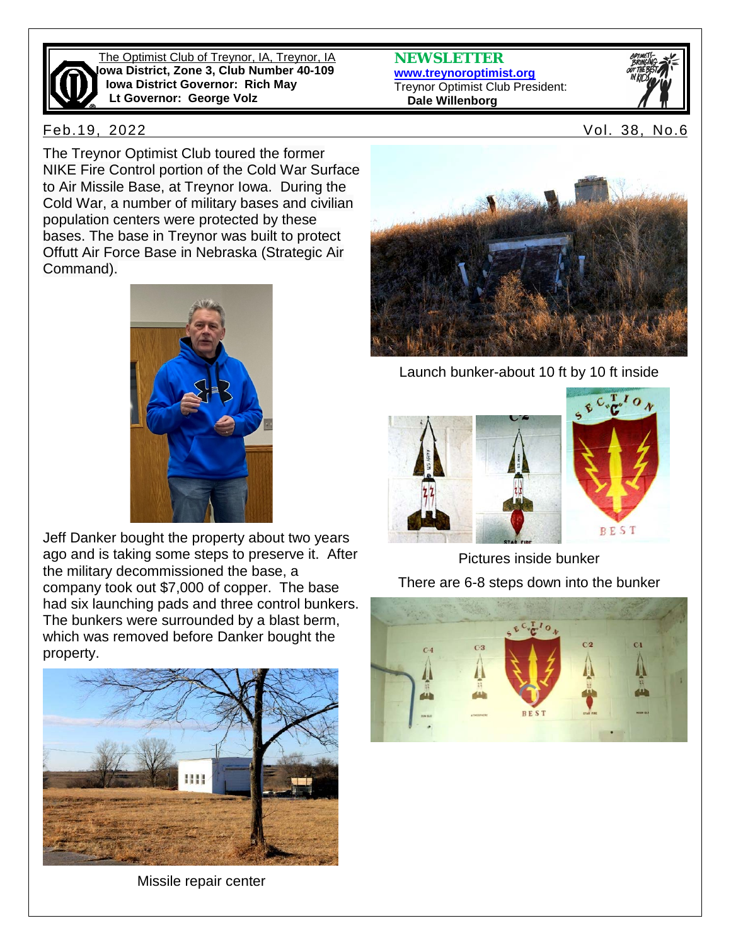

The Optimist Club of Treynor, IA, Treynor, IA **Iowa District, Zone 3, Club Number 40-109 Iowa District Governor: Rich May Lt Governor: George Volz**

**NEWSLETTER [www.treynoroptimist.org](http://www.treynoroptimist.org/)** Treynor Optimist Club President:  **Dale Willenborg**



Feb.19, 2022 Vol. 38, No.6

The Treynor Optimist Club toured the former NIKE Fire Control portion of the Cold War Surface to Air Missile Base, at Treynor Iowa. During the Cold War, a number of military bases and civilian population centers were protected by these bases. The base in Treynor was built to protect Offutt Air Force Base in Nebraska (Strategic Air Command).



Jeff Danker bought the property about two years ago and is taking some steps to preserve it. After the military decommissioned the base, a company took out \$7,000 of copper. The base had six launching pads and three control bunkers. The bunkers were surrounded by a blast berm, which was removed before Danker bought the property.



Missile repair center



Launch bunker-about 10 ft by 10 ft inside





Pictures inside bunker There are 6-8 steps down into the bunker

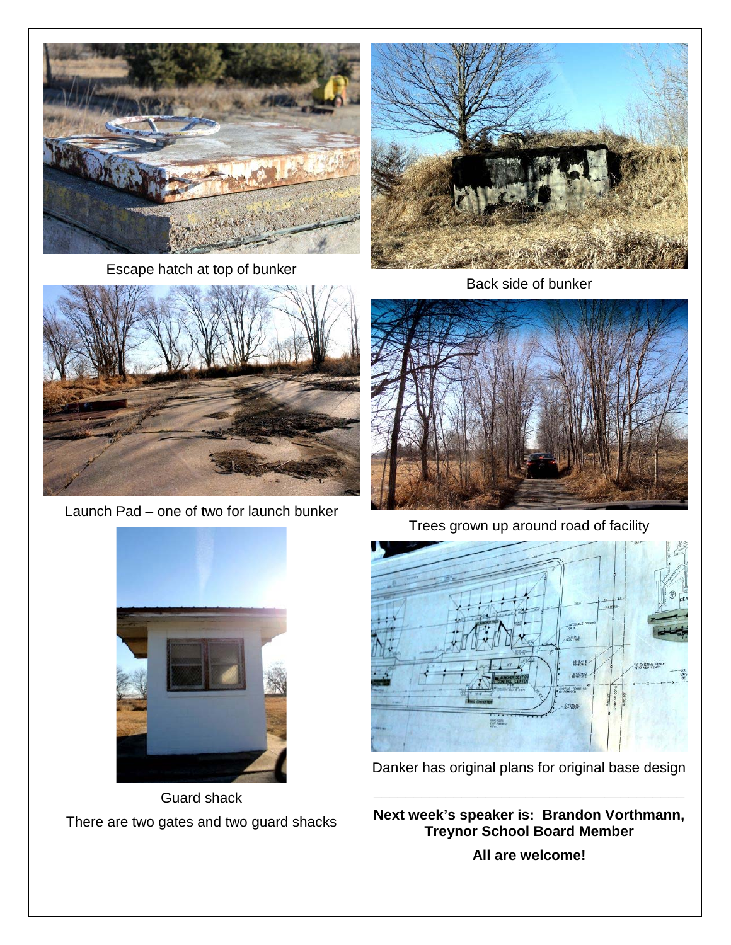

Escape hatch at top of bunker



Back side of bunker



Launch Pad – one of two for launch bunker



Trees grown up around road of facility



Guard shack There are two gates and two guard shacks



Danker has original plans for original base design

**\_\_\_\_\_\_\_\_\_\_\_\_\_\_\_\_\_\_\_\_\_\_\_\_\_\_\_\_\_\_\_\_\_\_\_\_\_\_\_**

**Next week's speaker is: Brandon Vorthmann, Treynor School Board Member**

**All are welcome!**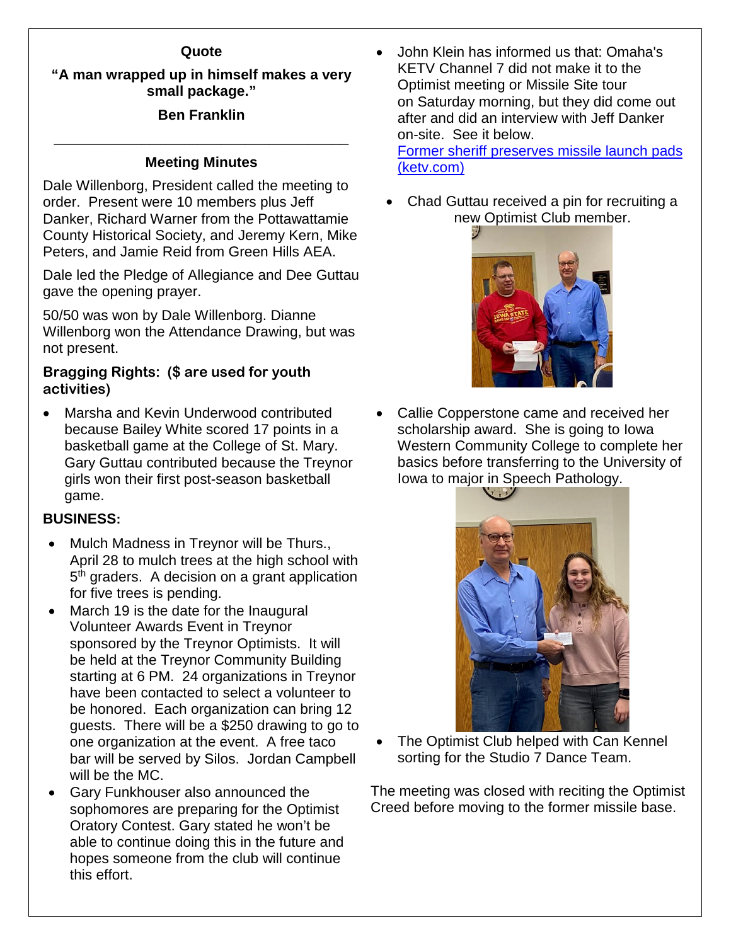## **Quote**

# **"A man wrapped up in himself makes a very small package."**

# **Ben Franklin**

# **\_\_\_\_\_\_\_\_\_\_\_\_\_\_\_\_\_\_\_\_\_\_\_\_\_\_\_\_\_\_\_\_\_\_\_\_\_ Meeting Minutes**

Dale Willenborg, President called the meeting to order. Present were 10 members plus Jeff Danker, Richard Warner from the Pottawattamie County Historical Society, and Jeremy Kern, Mike Peters, and Jamie Reid from Green Hills AEA.

Dale led the Pledge of Allegiance and Dee Guttau gave the opening prayer.

50/50 was won by Dale Willenborg. Dianne Willenborg won the Attendance Drawing, but was not present.

## **Bragging Rights: (\$ are used for youth activities)**

• Marsha and Kevin Underwood contributed because Bailey White scored 17 points in a basketball game at the College of St. Mary. Gary Guttau contributed because the Treynor girls won their first post-season basketball game.

## **BUSINESS:**

- Mulch Madness in Treynor will be Thurs., April 28 to mulch trees at the high school with 5<sup>th</sup> graders. A decision on a grant application for five trees is pending.
- March 19 is the date for the Inaugural Volunteer Awards Event in Treynor sponsored by the Treynor Optimists. It will be held at the Treynor Community Building starting at 6 PM. 24 organizations in Treynor have been contacted to select a volunteer to be honored. Each organization can bring 12 guests. There will be a \$250 drawing to go to one organization at the event. A free taco bar will be served by Silos. Jordan Campbell will be the MC.
- Gary Funkhouser also announced the sophomores are preparing for the Optimist Oratory Contest. Gary stated he won't be able to continue doing this in the future and hopes someone from the club will continue this effort.

• John Klein has informed us that: Omaha's KETV Channel 7 did not make it to the Optimist meeting or Missile Site tour on Saturday morning, but they did come out after and did an interview with Jeff Danker on-site. See it below. [Former sheriff preserves missile launch pads](https://urldefense.proofpoint.com/v2/url?u=https-3A__www.ketv.com_article_former-2Dsheriff-2Dpreserves-2Dmissile-2Dlaunch-2Dpads-2Dcold-2Dwar_39148840&d=DwMFaQ&c=WGOSmCgti93ke1gTzqLl_bo3aNeEPAUpObDknsPSbi4&r=0dy-pIcEQB0pgyrWboApxSS6ffbtyHu7h5gbbb4WTWE&m=HP3rM4leQ1EkTCsB5JFK9KDRpTiz80FI5-EoIam48OE&s=YFpVWnHofbyEU7-2T1XAHQugkZVl0C7zJoAF35fdZVw&e=)  [\(ketv.com\)](https://urldefense.proofpoint.com/v2/url?u=https-3A__www.ketv.com_article_former-2Dsheriff-2Dpreserves-2Dmissile-2Dlaunch-2Dpads-2Dcold-2Dwar_39148840&d=DwMFaQ&c=WGOSmCgti93ke1gTzqLl_bo3aNeEPAUpObDknsPSbi4&r=0dy-pIcEQB0pgyrWboApxSS6ffbtyHu7h5gbbb4WTWE&m=HP3rM4leQ1EkTCsB5JFK9KDRpTiz80FI5-EoIam48OE&s=YFpVWnHofbyEU7-2T1XAHQugkZVl0C7zJoAF35fdZVw&e=)

• Chad Guttau received a pin for recruiting a new Optimist Club member.



• Callie Copperstone came and received her scholarship award. She is going to Iowa Western Community College to complete her basics before transferring to the University of Iowa to major in Speech Pathology.



The Optimist Club helped with Can Kennel sorting for the Studio 7 Dance Team.

The meeting was closed with reciting the Optimist Creed before moving to the former missile base.